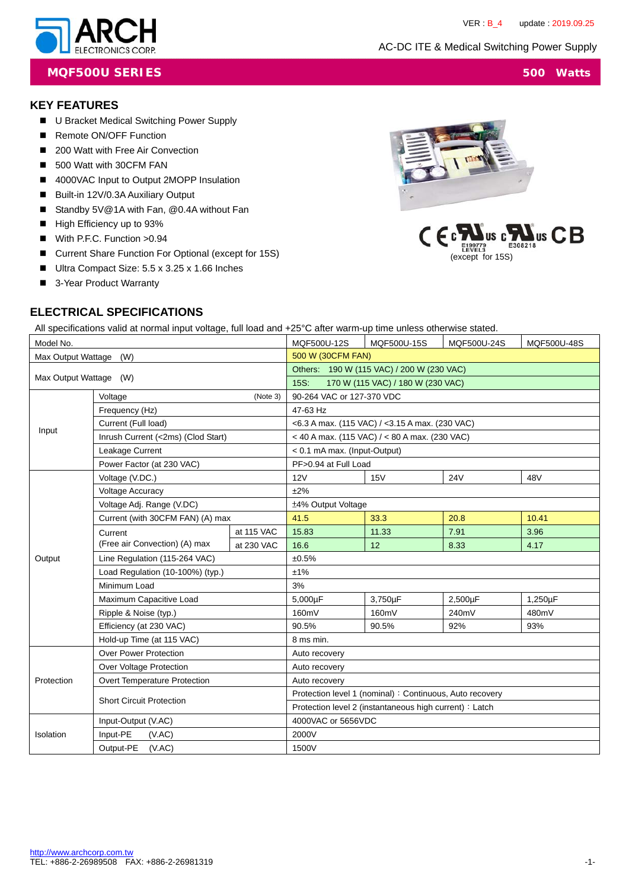AC-DC ITE & Medical Switching Power Supply



**MQF500U SERIES** 500 Watts

### **KEY FEATURES**

- U Bracket Medical Switching Power Supply
- Remote ON/OFF Function
- 200 Watt with Free Air Convection
- 500 Watt with 30CFM FAN
- 4000VAC Input to Output 2MOPP Insulation
- Built-in 12V/0.3A Auxiliary Output
- Standby 5V@1A with Fan, @0.4A without Fan
- High Efficiency up to 93%
- With P.F.C. Function >0.94
- Current Share Function For Optional (except for 15S)
- Ultra Compact Size: 5.5 x 3.25 x 1.66 Inches
- 3-Year Product Warranty





## **ELECTRICAL SPECIFICATIONS**

All specifications valid at normal input voltage, full load and +25°C after warm-up time unless otherwise stated.

| Model No.                 |                                    | MQF500U-12S                               | MQF500U-15S                                              | MQF500U-24S                                       | MQF500U-48S |         |
|---------------------------|------------------------------------|-------------------------------------------|----------------------------------------------------------|---------------------------------------------------|-------------|---------|
| Max Output Wattage<br>(W) |                                    | 500 W (30CFM FAN)                         |                                                          |                                                   |             |         |
|                           |                                    | Others: 190 W (115 VAC) / 200 W (230 VAC) |                                                          |                                                   |             |         |
| Max Output Wattage (W)    |                                    |                                           | 15S:                                                     | 170 W (115 VAC) / 180 W (230 VAC)                 |             |         |
|                           | Voltage                            | (Note 3)                                  | 90-264 VAC or 127-370 VDC                                |                                                   |             |         |
|                           | Frequency (Hz)                     |                                           | 47-63 Hz                                                 |                                                   |             |         |
| Input                     | Current (Full load)                |                                           | $<$ 6.3 A max. (115 VAC) / $<$ 3.15 A max. (230 VAC)     |                                                   |             |         |
|                           | Inrush Current (<2ms) (Clod Start) |                                           |                                                          | $<$ 40 A max. (115 VAC) / $<$ 80 A max. (230 VAC) |             |         |
|                           | Leakage Current                    |                                           | < 0.1 mA max. (Input-Output)                             |                                                   |             |         |
|                           | Power Factor (at 230 VAC)          |                                           | PF>0.94 at Full Load                                     |                                                   |             |         |
|                           | Voltage (V.DC.)                    |                                           | 12V                                                      | 15V                                               | <b>24V</b>  | 48V     |
|                           | <b>Voltage Accuracy</b>            |                                           | ±2%                                                      |                                                   |             |         |
|                           | Voltage Adj. Range (V.DC)          |                                           | ±4% Output Voltage                                       |                                                   |             |         |
|                           | Current (with 30CFM FAN) (A) max   |                                           | 41.5                                                     | 33.3                                              | 20.8        | 10.41   |
|                           | Current                            | at 115 VAC                                | 15.83                                                    | 11.33                                             | 7.91        | 3.96    |
|                           | (Free air Convection) (A) max      | at 230 VAC                                | 16.6                                                     | 12                                                | 8.33        | 4.17    |
| Output                    | Line Regulation (115-264 VAC)      |                                           | ±0.5%                                                    |                                                   |             |         |
|                           | Load Regulation (10-100%) (typ.)   |                                           | ±1%                                                      |                                                   |             |         |
|                           | Minimum Load                       |                                           | 3%                                                       |                                                   |             |         |
|                           | Maximum Capacitive Load            |                                           | 5,000uF                                                  | 3,750µF                                           | 2,500µF     | 1,250µF |
|                           | Ripple & Noise (typ.)              |                                           | 160mV                                                    | 160mV                                             | 240mV       | 480mV   |
|                           | Efficiency (at 230 VAC)            |                                           | 90.5%                                                    | 90.5%                                             | 92%         | 93%     |
|                           | Hold-up Time (at 115 VAC)          |                                           | 8 ms min.                                                |                                                   |             |         |
|                           | <b>Over Power Protection</b>       |                                           | Auto recovery                                            |                                                   |             |         |
|                           | Over Voltage Protection            |                                           | Auto recovery                                            |                                                   |             |         |
| Protection                | Overt Temperature Protection       |                                           | Auto recovery                                            |                                                   |             |         |
|                           | <b>Short Circuit Protection</b>    |                                           | Protection level 1 (nominal) : Continuous, Auto recovery |                                                   |             |         |
|                           |                                    |                                           | Protection level 2 (instantaneous high current) : Latch  |                                                   |             |         |
|                           | Input-Output (V.AC)                |                                           | 4000VAC or 5656VDC                                       |                                                   |             |         |
| Isolation                 | Input-PE<br>(VAC)                  |                                           | 2000V                                                    |                                                   |             |         |
|                           | Output-PE<br>(VAC)                 |                                           | 1500V                                                    |                                                   |             |         |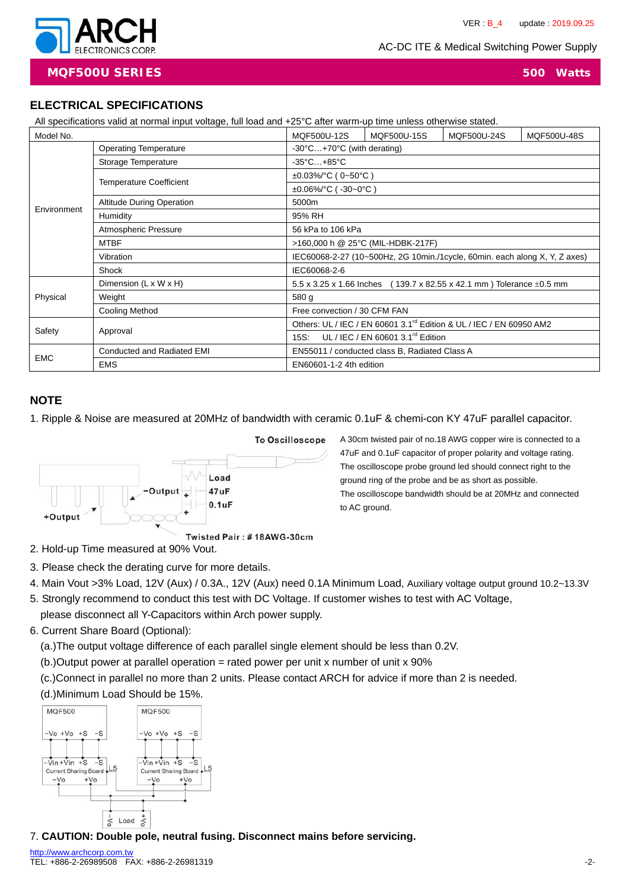AC-DC ITE & Medical Switching Power Supply



**MQF500U SERIES 500 Watts**

### **ELECTRICAL SPECIFICATIONS**

|             | All specifications valid at normal input voltage, full load and +25°C after warm-up time unless otherwise stated. |                                 |                                                                                 |                                                                           |             |  |
|-------------|-------------------------------------------------------------------------------------------------------------------|---------------------------------|---------------------------------------------------------------------------------|---------------------------------------------------------------------------|-------------|--|
| Model No.   | MQF500U-15S<br>MQF500U-24S<br>MQF500U-12S                                                                         |                                 |                                                                                 |                                                                           | MQF500U-48S |  |
|             | <b>Operating Temperature</b>                                                                                      |                                 | -30°C+70°C (with derating)                                                      |                                                                           |             |  |
|             | Storage Temperature                                                                                               | $-35^{\circ}$ C $+85^{\circ}$ C |                                                                                 |                                                                           |             |  |
|             |                                                                                                                   | $\pm 0.03\%$ /°C (0~50°C)       |                                                                                 |                                                                           |             |  |
|             | <b>Temperature Coefficient</b>                                                                                    | $\pm 0.06\%$ /°C (-30~0°C)      |                                                                                 |                                                                           |             |  |
|             | <b>Altitude During Operation</b>                                                                                  | 5000m                           |                                                                                 |                                                                           |             |  |
| Environment | Humidity                                                                                                          | 95% RH                          |                                                                                 |                                                                           |             |  |
|             | Atmospheric Pressure                                                                                              | 56 kPa to 106 kPa               |                                                                                 |                                                                           |             |  |
|             | <b>MTBF</b>                                                                                                       |                                 | >160,000 h @ 25°C (MIL-HDBK-217F)                                               |                                                                           |             |  |
|             | Vibration                                                                                                         |                                 | IEC60068-2-27 (10~500Hz, 2G 10min./1cycle, 60min. each along X, Y, Z axes)      |                                                                           |             |  |
|             | Shock                                                                                                             | IEC60068-2-6                    |                                                                                 |                                                                           |             |  |
|             | Dimension (L x W x H)                                                                                             |                                 |                                                                                 | 5.5 x 3.25 x 1.66 lnches (139.7 x 82.55 x 42.1 mm) Tolerance $\pm$ 0.5 mm |             |  |
| Physical    | Weight                                                                                                            | 580 g                           |                                                                                 |                                                                           |             |  |
|             | <b>Cooling Method</b>                                                                                             | Free convection / 30 CFM FAN    |                                                                                 |                                                                           |             |  |
|             | Approval                                                                                                          |                                 | Others: UL / IEC / EN 60601 3.1 <sup>rd</sup> Edition & UL / IEC / EN 60950 AM2 |                                                                           |             |  |
| Safety      |                                                                                                                   | 15S:                            | UL / IEC / EN 60601 3.1 $rd$ Edition                                            |                                                                           |             |  |
|             | Conducted and Radiated EMI                                                                                        |                                 | EN55011 / conducted class B, Radiated Class A                                   |                                                                           |             |  |
| <b>EMC</b>  | <b>EMS</b>                                                                                                        |                                 | EN60601-1-2 4th edition                                                         |                                                                           |             |  |

### **NOTE**

1. Ripple & Noise are measured at 20MHz of bandwidth with ceramic 0.1uF & chemi-con KY 47uF parallel capacitor.



2. Hold-up Time measured at 90% Vout.

- 3. Please check the derating curve for more details.
- 4. Main Vout >3% Load, 12V (Aux) / 0.3A., 12V (Aux) need 0.1A Minimum Load, Auxiliary voltage output ground 10.2~13.3V
- 5. Strongly recommend to conduct this test with DC Voltage. If customer wishes to test with AC Voltage,

please disconnect all Y-Capacitors within Arch power supply.

6. Current Share Board (Optional):

(a.)The output voltage difference of each parallel single element should be less than 0.2V.

(b.)Output power at parallel operation = rated power per unit x number of unit x 90%

(c.)Connect in parallel no more than 2 units. Please contact ARCH for advice if more than 2 is needed.





7. **CAUTION: Double pole, neutral fusing. Disconnect mains before servicing.**

A 30cm twisted pair of no.18 AWG copper wire is connected to a 47uF and 0.1uF capacitor of proper polarity and voltage rating.

The oscilloscope probe ground led should connect right to the ground ring of the probe and be as short as possible. The oscilloscope bandwidth should be at 20MHz and connected to AC ground.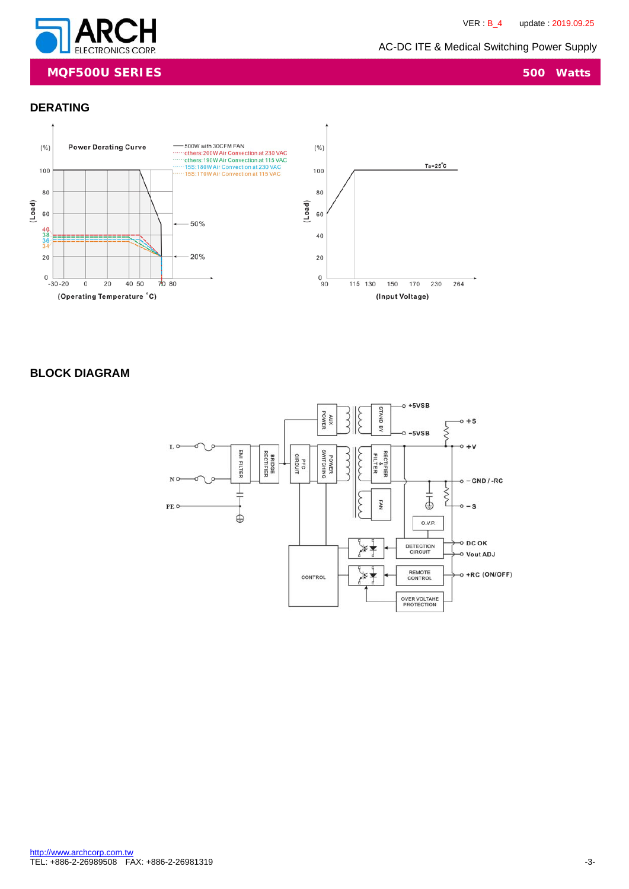

### **MQF500U SERIES** 500 Watts

### **DERATING**



### **BLOCK DIAGRAM**

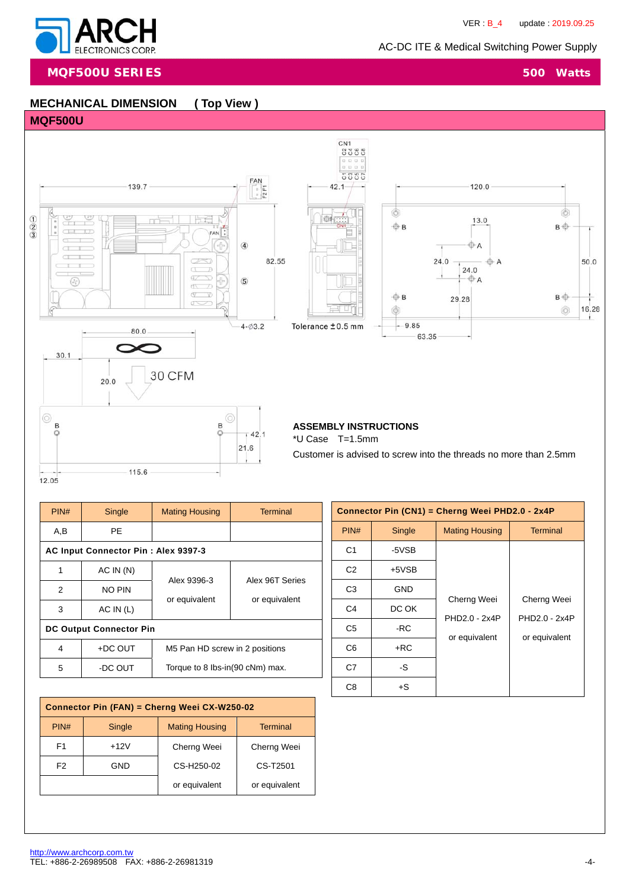120.0

 $13.0$ 

**O**A

**OA** 

 $24.0$  $\oplus$  A

29.28

 $24.0$ 

63.35



**MQF500U SERIES** 500 Watts

# **MECHANICAL DIMENSION ( Top View )**

### **MQF500U**



115.6



CN<sub>1</sub>

Ò

 $50.0$ 

16.28  $\mathfrak{t}$ 

 $B \oplus$ 

B

 $^{\circ}$ 

**ASSEMBLY INSTRUCTIONS**  \*U Case T=1.5mm Customer is advised to screw into the threads no more than 2.5mm

12.05

| PIN# | Single                              | <b>Mating Housing</b>           | <b>Terminal</b> |  |  |
|------|-------------------------------------|---------------------------------|-----------------|--|--|
| A,B  | <b>PE</b>                           |                                 |                 |  |  |
|      | AC Input Connector Pin: Alex 9397-3 |                                 |                 |  |  |
| 1    | AC IN(N)                            | Alex 9396-3                     | Alex 96T Series |  |  |
| 2    | NO PIN                              | or equivalent                   | or equivalent   |  |  |
| 3    | AC IN (L)                           |                                 |                 |  |  |
|      | <b>DC Output Connector Pin</b>      |                                 |                 |  |  |
| 4    | +DC OUT                             | M5 Pan HD screw in 2 positions  |                 |  |  |
| 5    | -DC OUT                             | Torque to 8 lbs-in(90 cNm) max. |                 |  |  |

 $21.6$ 

| Connector Pin (CN1) = Cherng Weei PHD2.0 - 2x4P |            |                       |                              |
|-------------------------------------------------|------------|-----------------------|------------------------------|
| PIN#                                            | Single     | <b>Mating Housing</b> | Terminal                     |
| C <sub>1</sub>                                  | -5VSB      |                       |                              |
| C <sub>2</sub>                                  | $+5VSB$    |                       |                              |
| C <sub>3</sub>                                  | <b>GND</b> |                       |                              |
| C <sub>4</sub>                                  | DC OK      | Cherng Weei           | Cherng Weei<br>PHD2.0 - 2x4P |
| C <sub>5</sub>                                  | -RC        | PHD2.0 - 2x4P         |                              |
| C <sub>6</sub>                                  | $+RC$      | or equivalent         | or equivalent                |
| C7                                              | -S         |                       |                              |
| C <sub>8</sub>                                  | $+S$       |                       |                              |

| Connector Pin (FAN) = Cherng Weei CX-W250-02 |                                |                       |                 |  |
|----------------------------------------------|--------------------------------|-----------------------|-----------------|--|
| PIN#                                         | Single                         | <b>Mating Housing</b> | <b>Terminal</b> |  |
| F <sub>1</sub>                               | $+12V$                         | Cherng Weei           | Cherng Weei     |  |
| F <sub>2</sub>                               | GND                            | CS-H250-02            | CS-T2501        |  |
|                                              | or equivalent<br>or equivalent |                       |                 |  |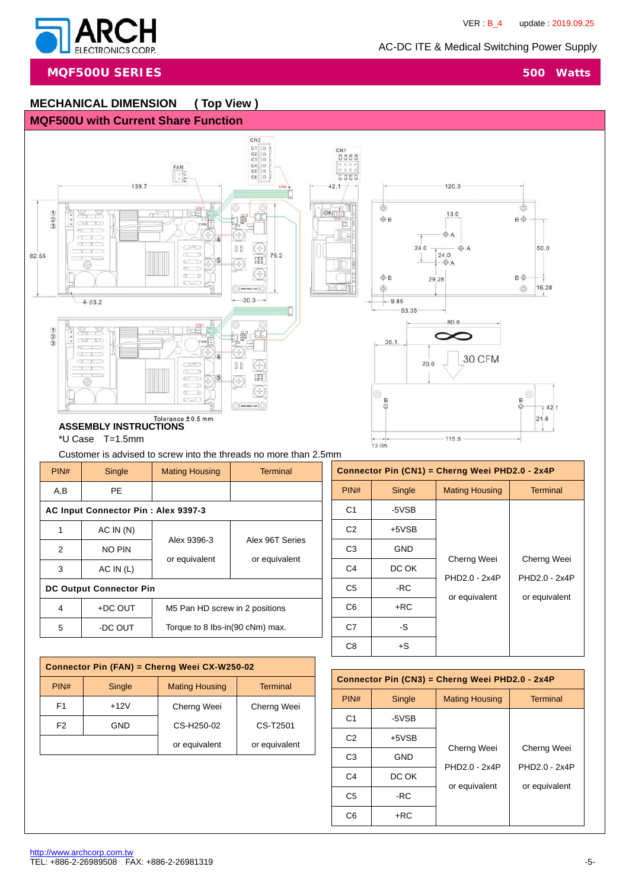

**MQF500U SERIES** 500 Watts

# **MECHANICAL DIMENSION ( Top View )**

### **MQF500U with Current Share Function**



Customer is advised to screw into the threads no more than 2.5mm

| PIN# | Single                              | <b>Mating Housing</b>           | <b>Terminal</b> |  |  |
|------|-------------------------------------|---------------------------------|-----------------|--|--|
| A,B  | PF.                                 |                                 |                 |  |  |
|      | AC Input Connector Pin: Alex 9397-3 |                                 |                 |  |  |
| 1    | AC IN (N)                           | Alex 9396-3                     | Alex 96T Series |  |  |
| 2    | NO PIN                              | or equivalent                   | or equivalent   |  |  |
| 3    | AC IN (L)                           |                                 |                 |  |  |
|      | <b>DC Output Connector Pin</b>      |                                 |                 |  |  |
| 4    | $+DC$ OUT                           | M5 Pan HD screw in 2 positions  |                 |  |  |
| 5    | -DC OUT                             | Torque to 8 lbs-in(90 cNm) max. |                 |  |  |

| Connector Pin (CN1) = Cherng Weei PHD2.0 - 2x4P |            |                              |                              |
|-------------------------------------------------|------------|------------------------------|------------------------------|
| PIN#                                            | Single     | <b>Mating Housing</b>        | <b>Terminal</b>              |
| C <sub>1</sub>                                  | -5VSB      |                              |                              |
| C <sub>2</sub>                                  | $+5VSB$    |                              |                              |
| C <sub>3</sub>                                  | <b>GND</b> |                              |                              |
| C <sub>4</sub>                                  | DC OK      | Cherng Weei<br>PHD2.0 - 2x4P | Cherng Weei<br>PHD2.0 - 2x4P |
| C <sub>5</sub>                                  | -RC        | or equivalent                | or equivalent                |
| C <sub>6</sub>                                  | $+RC$      |                              |                              |
| C7                                              | -S         |                              |                              |
| C8                                              | $+S$       |                              |                              |
|                                                 |            |                              |                              |

| Connector Pin (FAN) = Cherng Weei CX-W250-02 |                                |                       |             |  |  |
|----------------------------------------------|--------------------------------|-----------------------|-------------|--|--|
| PIN#                                         | Single                         | <b>Mating Housing</b> | Terminal    |  |  |
| F <sub>1</sub>                               | $+12V$                         | Cherng Weei           | Cherng Weei |  |  |
| F <sub>2</sub>                               | GND                            | CS-H250-02            | CS-T2501    |  |  |
|                                              | or equivalent<br>or equivalent |                       |             |  |  |

| Connector Pin (CN3) = Cherng Weei PHD2.0 - 2x4P |            |                              |                              |
|-------------------------------------------------|------------|------------------------------|------------------------------|
| PIN#                                            | Single     | <b>Mating Housing</b>        | <b>Terminal</b>              |
| C <sub>1</sub>                                  | -5VSB      |                              |                              |
| C <sub>2</sub>                                  | $+5VSB$    |                              |                              |
| C <sub>3</sub>                                  | <b>GND</b> | Cherng Weei<br>PHD2.0 - 2x4P | Cherng Weei<br>PHD2.0 - 2x4P |
| C <sub>4</sub>                                  | DC OK      | or equivalent                | or equivalent                |
| C <sub>5</sub>                                  | -RC        |                              |                              |
| C <sub>6</sub>                                  | $+RC$      |                              |                              |